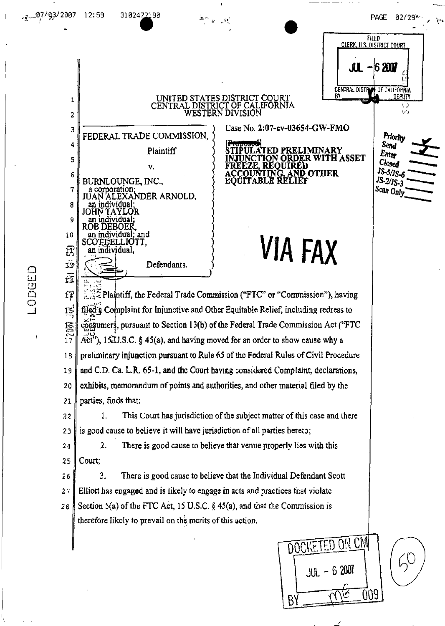$\mathbf{1}$ 

 $\overline{c}$ 

3

4

5

6

7

8

9

 $1\,0$ 

 $\mathbf{F}$ 

 $\overline{12}$ 

ίī

JUAN

FEDERAL TRADE COMMISSION.

v.

'ALEXANDER ARNOLD.

and

BURNLOUNGE, INC.,

corporation

ın individual

OB DEBOER,

an individual:

an individual.

**COFFELLIOTT.** 

Plaintiff

Defendants.



Closed

JS-5/JS-6

JS-2/JS-3

Scan Only

Case No. 2:07-cv-03654-GW-FMO **TIPULATED PRELIMINARY JUNCTION ORDER WITH ASSET** FREEZE, REQUIRED<br>ACCOUNTING, AND OTHER

# EOUITABLE RELIEF

# **VIA FAX**

 $\frac{1}{100}$  Plaintiff, the Federal Trade Commission ("FTC" or "Commission"), having ſ₽ filed<sup>\*</sup> Complaint for Injunctive and Other Equitable Relief, including redress to  $F5$  $\frac{16}{17}$ consumers, pursuant to Section 13(b) of the Federal Trade Commission Act ("FTC  $\overrightarrow{AC}$ , 15.U.S.C. § 45(a), and having moved for an order to show cause why a preliminary injunction pursuant to Rule 65 of the Federal Rules of Civil Procedure 18 and C.D. Ca. L.R. 65-1, and the Court having considered Complaint, declarations, 19 exhibits, memorandum of points and authorities, and other material filed by the 20 parties, finds that: 21

 $\label{eq:1} \mathcal{Z} \simeq \frac{1}{\Psi - \mu^2} \mathbb{I}$ 

UNITED STATES DISTRICT COURT<br>CENTRAL DISTRICT OF CALIFORNIA

WESTERN DIVISION

1. This Court has jurisdiction of the subject matter of this case and there 22 is good cause to believe it will have jurisdiction of all parties hereto; 23

 $\overline{2}$ . There is good cause to believe that venue properly lies with this 24 Court: 25

3. There is good cause to believe that the Individual Defendant Scott 26 Elliott has engaged and is likely to engage in acts and practices that violate 27 Section 5(a) of the FTC Act, 15 U.S.C. § 45(a), and that the Commission is 28 therefore likely to prevail on the merits of this action.

**ON CM DOCK**  $JUL - 62007$ 009 B

**QDGED**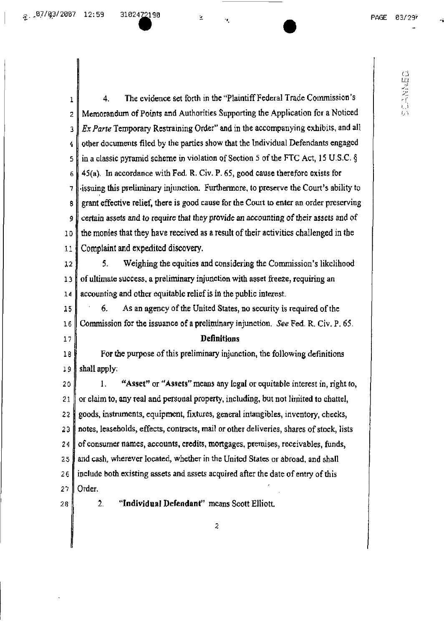鱼

 $PAGE = 03/29^{\frac{1}{7}}$ 

高度音乐局

1 4. The evidence set forth in the "Plaintiff Federal Trade Commission's 2 Memorandum of Points and Authorities Supporting the Application for a Noticed *3 ExParte* Temporary Restraining Order" and in theaccompanying exhibits, and all other documents filed by the parties show that the Individual Defendants engaged 4 5 in a classic pyramid scheme in violation of Section 5 of the FTC Act, 15 U.S.C.  $\S$  $6 \parallel 45(a)$ . In accordance with Fed, R, Civ. P, 65, good cause therefore exists for  $7$ . sissuing this preliminary injunction. Furthermore, to preserve the Court's ability to 8 grant effective relief, there is good cause for the Court to enter an order preserving 9 certain assets and to require that they provide an accounting of their assets and of 10 the monies that they have received as a result of their activities challenged in the 11 Complaint and expedited discovery. 12 5. Weighing the equities and considering the Commission's likelihood  $13$  of ultimate success, a preliminary injunction with asset freeze, requiring an  $14$  accounting and other equitable relief is in the public interest.  $15$  6. As an agency of the United States, no security is required of the 16 Commission forthe issuance ofa preliminary injunction. *See* Fed. R.Civ, P. 65, 17 **Definitions** 18 For the purpose of this preliminary injunction, the following definitions 19 shall apply: 20 | I. "Asset" or "Assets" means any legal or equitable interest in, right to,  $21$   $\parallel$  or claim to, any real and personal property, including, but not limited to chattel, 22 goods, instruments, equipment, fixtures, general intangibles, inventory, cheeks,  $23$   $\parallel$  notes, leaseholds, effects, contracts, mail or other deliveries, shares of stock, lists  $24$  of consumer names, accounts, credits, mortgages, premises, receivables, funds,  $25$  and cash, wherever located, whether in the United States or abroad, and shall  $26$  include both existing assets and assets acquired after the date of entry of this 27 || Order. 28 2. **"Individual Defendant"** means Scott Elliott. $\hat{z}$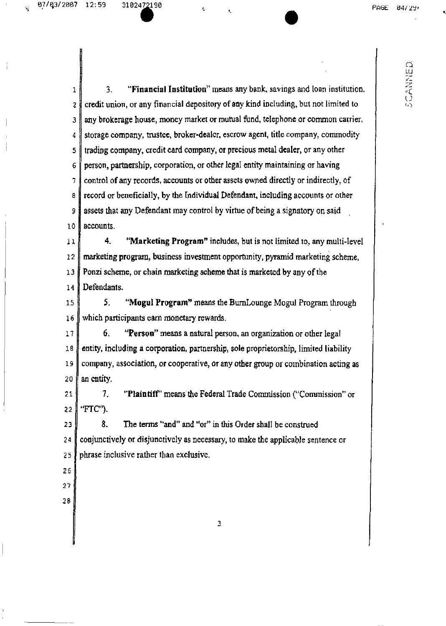ł.

**•** 

r:<br>II.

.;

 $1$   $\parallel$  3. "Financial Institution" means any bank, savings and loan institution.  $2 \parallel$  credit union, or any financial depository of any kind including, but not limited to  $3$  any brokerage house, money market or mutual fund, telephone or common carrier, 4 storage company, trustee, broker-dealer. escrow agent, titlecompany, commodity 5 trading company, credit card company, or precious metal dealer, or any other  $6 \parallel$  person, partnership, corporation, or other legal entity maintaining or having 7 control of any records, accounts or other assets owned directly or indirectly, of a record or beneficially, by the Individual Defendant, including accounts or other 9 assets that any Defendant may control by virtue of being a signatory on said 10 accounts. 11 4. "Marketing Program" includes, but is not limited to, any multi-level

12 marketing program, business investment opportunity, pyramid marketing scheme, 13 Ponzi scheme, or chain marketing scheme that is marketed by any of the 14 Defendants.

15 5. "Mogul Program" means the BurnLounge Mogul Program through 16 which participants earn monetary rewards.

17 6. "Person" means a natural person, an organization or other legal entity, including a corporation, partnership, sole proprietorship, limited liability company, association, or cooperative, or any other group or combination acting as  $\parallel$  an entity.

21 7. "Plaintiff" means the Federal Trade Commission ("Commission" or 22 "FTC").

 $23$   $\parallel$  8. The terms "and" and "or" in this Order shall be construed 24 conjunctively or disjunctively as necessary, to make the applicable sentence or 25 phrase inclusive rather than exclusive.

- 26 27
- 28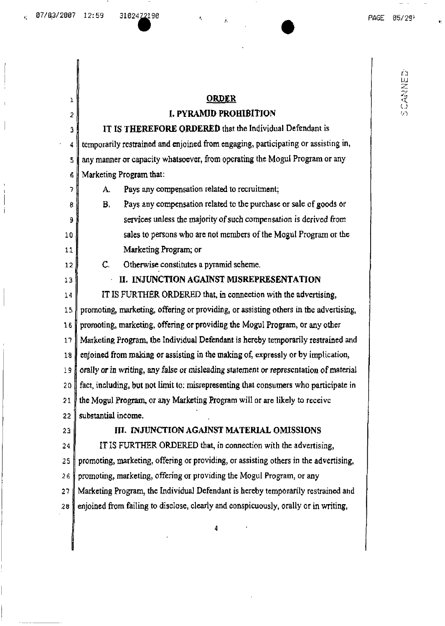1

2

h LU

## ORDER

## I. PYRAMID PROffiBlTION

IT IS THEREFORE ORDERED that the Individual Defendant is 3 4 temporarily restrained and enjoined from engaging, participating or assisting in,  $5$  any manner or capacity whatsoever, from operating the Mogul Program or any 6 Marketing Program that:

7 A. Pays any compensation related to recruitment;

 $8 \parallel$  B. Pays any compensation related to the purchase or sale of goods or 9  $\parallel$ 10 sales to persons who are not members of the Mogul Program or the 11 Marketing Program; or

12 C. Otherwise constitutes a pyramid scheme.

13 II. INJUNCTION AGAINST MISREPRESENTATION

14 IT IS FURTHER ORDERED that, in connection with the advertising, 15 promoting, marketing, offering or providing, or assisting others in the advertising, 16 promoting, marketing, offering or providing the Mogul Program, or anyother 17 Marketing Program, the Individual Defendant ishereby temporarily restrained and 18 enjoined from making or assisting in the making of, expressly or by implication,  $19$  orally or in writing, any false or misleading statement or representation of material  $20$  fact, including, but not limit to: misrepresenting that consumers who participate in 21 the Mogul Program, or any Marketing Program will or are likely to receive  $22$  substantial income.

## 23 JULIE III. INJUNCTION AGAINST MATERIAL OMISSIONS

24  $\parallel$  IT IS FURTHER ORDERED that, in connection with the advertising, 25 promoting, marketing, offering or providing, or assisting others in the advertising, 26 promoting, marketing, offering or providing the Mogul Program, or any 27 Marketing Program, the Individual Defendant is hereby temporarily restrained and 28 enjoined from failing to disclose, clearly and conspicuously, orally or in writing,

4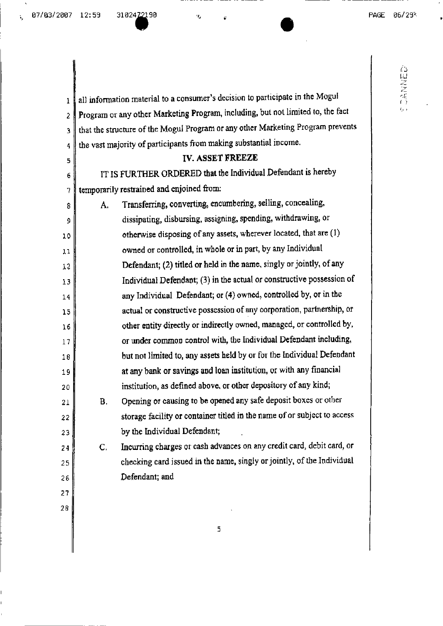$\bf{l}$ 

 $\overline{2}$ 

 $\overline{\mathbf{3}}$ 

 $\overline{\mathbf{4}}$ 

5

 $\epsilon$ 

7

8

 $\mathsf 9$ 

 $10$ 

 $11$ 

 $12$ 

 $13$ 

14

15

16

 $17$ 

18

19

20

21

22

23

24

25

△阻逆逆低○

all information material to a consumer's decision to participate in the Mogul Program or any other Marketing Program, including, but not limited to, the fact that the structure of the Mogul Program or any other Marketing Program prevents the vast majority of participants from making substantial income. **IV. ASSET FREEZE** IT IS FURTHER ORDERED that the Individual Defendant is hereby temporarily restrained and enjoined from: Transferring, converting, encumbering, selling, concealing, A. dissipating, disbursing, assigning, spending, withdrawing, or otherwise disposing of any assets, wherever located, that are (1) owned or controlled, in whole or in part, by any Individual Defendant: (2) titled or held in the name, singly or jointly, of any Individual Defendant; (3) in the actual or constructive possession of any Individual Defendant; or (4) owned, controlled by, or in the actual or constructive possession of any corporation, partnership, or other entity directly or indirectly owned, managed, or controlled by, or under common control with, the Individual Defendant including, but not limited to, any assets held by or for the Individual Defendant at any bank or savings and loan institution, or with any financial institution, as defined above, or other depository of any kind; Opening or causing to be opened any safe deposit boxes or other  $B<sub>r</sub>$ storage facility or container titled in the name of or subject to access

by the Individual Defendant; Incurring charges or cash advances on any credit card, debit card, or  $\mathsf{C}$ . checking card issued in the name, singly or jointly, of the Individual

26 27

28

5

Defendant; and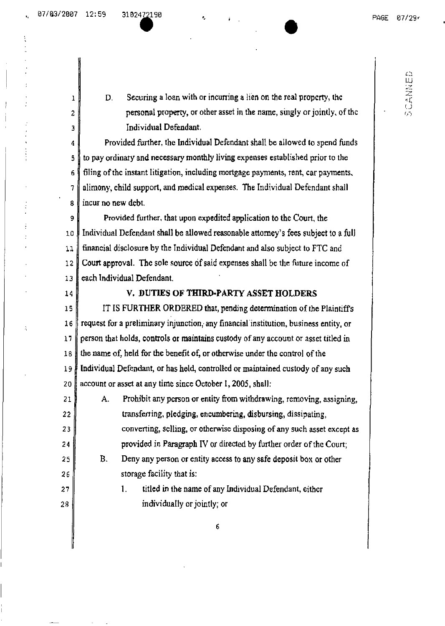いこされにこ

 $1$  D, Securing a loan with or incurring a Hen on the real property, the  $2 \parallel$  personal property, or other asset in the name, singly or jointly, of the 3 Individual Defendant.

**•** 

 $4 \parallel$  Provided further, the Individual Defendant shall be allowed to spend funds 5 to pay ordinary and necessary monthly living expenses established prior to the  $6 \nparallel 6$  filing of the instant litigation, including mortgage payments, rent, car payments.  $7 \parallel$  alimony, child support, and medical expenses. The Individual Defendant shall 8 l incur no new debt.

9 Provided further. thatupon expedited application to theCourt. the 10 Individual Defendant shall be allowed reasonable attorney's fees subject to a full 11 financial disclosure by the Individual Defendant andalso subject to FTC and 12 Court approval. The sole source of said expenses shall be the future income of 13 each Individual Defendant.

## 14 V. DUTIES OF **THIRD.PARTY** ASSET HOLDERS

 $15$  IT IS FURTHER ORDERED that, pending determination of the Plaintiffs 16 request for a preliminary injunction, any financial institution, business entity, or  $17$  person that holds, controls or maintains custody of any account or asset titled in 18 the name of, held for the benefit of, or otherwise under the control of the  $19$  | Individual Defendant, or has held, controlled or maintained custody of any such 20 account or asset at any time since October 1, 2005, shall:

21 A. Prohibit any person or entity from withdrawing, removing, assigning, **transferring, pledging, encumbering, disbursing, dissipating, converting, selling, or otherwise disposing of any such asset except as**  $\parallel$  provided in Paragraph IV or directed by further order of the Court;

 $25$  B. Deny any person or entity access to any safe deposit box or other 26  $\parallel$  storage facility that is:

 $27$  || 1. titled in the name of any Individual Defendant, either 28 **individually or jointly; or** 

6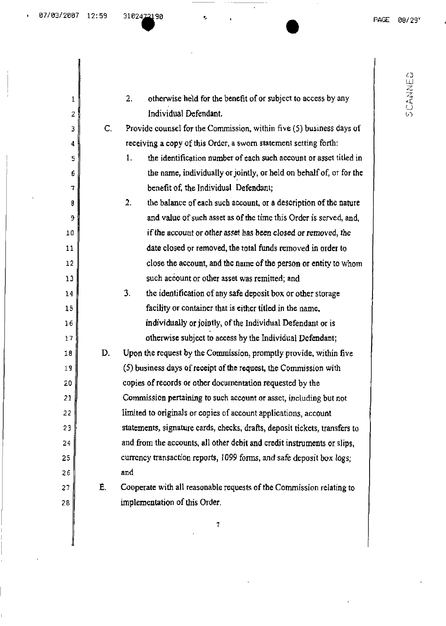l,

 $\overline{\phantom{a}}$ 

ŧ,

| 1  |                | otherwise held for the benefit of or subject to access by any<br>2.        |
|----|----------------|----------------------------------------------------------------------------|
| 2  |                | Individual Defendant.                                                      |
| 3  | $\mathsf{C}$ . | Provide counsel for the Commission, within five (5) business days of       |
| 4  |                | receiving a copy of this Order, a sworn statement setting forth:           |
| 5  |                | the identification number of each such account or asset titled in<br>1.    |
| 6  |                | the name, individually or jointly, or held on behalf of, or for the        |
| 7  |                | benefit of, the Individual Defendant;                                      |
| 9  |                | the balance of each such account, or a description of the nature<br>2.     |
| 9  |                | and value of such asset as of the time this Order is served, and,          |
| 10 |                | if the account or other asset has been closed or removed, the              |
| 11 |                | date closed or removed, the total funds removed in order to                |
| 12 |                | close the account, and the name of the person or entity to whom            |
| 13 |                | such account or other asset was remitted; and                              |
| 14 |                | 3.<br>the identification of any safe deposit box or other storage          |
| 15 |                | facility or container that is either titled in the name,                   |
| 16 |                | individually or jointly, of the Individual Defendant or is                 |
| 17 |                | otherwise subject to access by the Individual Defendant;                   |
| 18 | D.             | Upon the request by the Commission, promptly provide, within five          |
| 19 |                | (5) business days of receipt of the request, the Commission with           |
| 20 |                | copies of records or other documentation requested by the                  |
| 21 |                | Commission pertaining to such account or asset, including but not          |
| 22 |                | limited to originals or copies of account applications, account            |
| 23 |                | statements, signature cards, checks, drafts, deposit tickets, transfers to |
| 24 |                | and from the accounts, all other debit and credit instruments or slips,    |
| 25 |                | currency transaction reports, 1099 forms, and safe deposit box logs;       |
| 26 |                | and                                                                        |
| 27 | Ë.             | Cooperate with all reasonable requests of the Commission relating to       |
| 28 |                | implementation of this Order.                                              |

'-"r' ~,~~ ~rrJ *V)*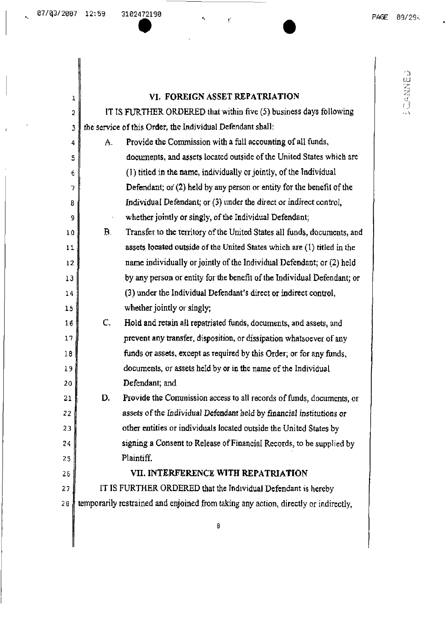**DESERVA** 

## $\parallel$  VI. FOREIGN ASSET REPATRIATION

| $\overline{c}$ | IT IS FURTHER ORDERED that within five (5) business days following                  |
|----------------|-------------------------------------------------------------------------------------|
| $\mathfrak{Z}$ | the service of this Order, the Individual Defendant shall:                          |
| 4              | Provide the Commission with a full accounting of all funds,<br>Α.                   |
| 5              | documents, and assets located outside of the United States which are                |
| 6              | (1) titled in the name, individually or jointly, of the Individual                  |
| 7              | Defendant; or (2) held by any person or entity for the benefit of the               |
| 8              | Individual Defendant; or (3) under the direct or indirect control,                  |
| 9              | whether jointly or singly, of the Individual Defendant;<br>$\epsilon$               |
| 10             | Transfer to the territory of the United States all funds, documents, and<br>В.      |
| 11             | assets located outside of the United States which are (1) titled in the             |
| 12             | name individually or jointly of the Individual Defendant; or (2) held               |
| 13             | by any person or entity for the benefit of the Individual Defendant; or             |
| 14             | (3) under the Individual Defendant's direct or indirect control,                    |
| 15             | whether jointly or singly;                                                          |
| 16             | С.<br>Hold and retain all repatriated funds, documents, and assets, and             |
| 17             | prevent any transfer, disposition, or dissipation whatsoever of any                 |
| 18             | funds or assets, except as required by this Order; or for any funds,                |
| 19             | documents, or assets held by or in the name of the Individual                       |
| 20             | Defendant; and                                                                      |
| 21             | Provide the Commission access to all records of funds, documents, or<br>D.          |
| 22             | assets of the Individual Defendant held by financial institutions or                |
| 23             | other entities or individuals located outside the United States by                  |
| 24             | signing a Consent to Release of Financial Records, to be supplied by                |
| 25             | Plaintiff.                                                                          |
| 25             | VII. INTERFERENCE WITH REPATRIATION                                                 |
| 27             | IT IS FURTHER ORDERED that the Individual Defendant is hereby                       |
| 28             | temporarily restrained and enjoined from taking any action, directly or indirectly, |
|                |                                                                                     |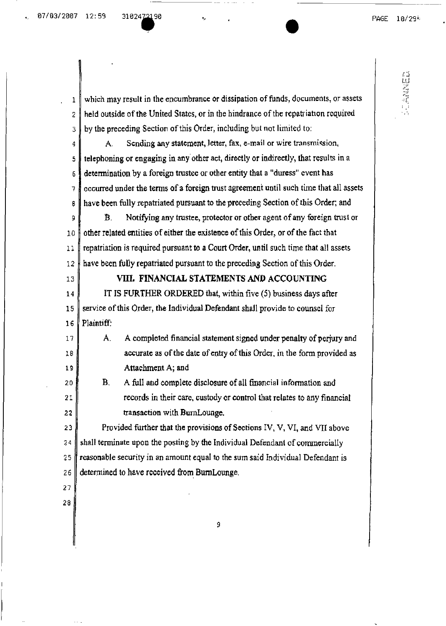LANNE

•

1 which may result in the encumbrance or dissipation of funds, documents, or assets  $2 \parallel$  held outside of the United States, or in the hindrance of the repatriation required  $3 \parallel$  by the preceding Section of this Order, including but not limited to:  $\parallel$  A. Sending any statement, letter, fax, e-mail or wire transmission,  $5 \text{ }$  telephoning or engaging in any other act, directly or indirectly, that results in a 6 determination by a foreign trustee or other entity that a "duress" event has  $7 \text{ l}$  occurred under the terms of a foreign trust agreement until such time that all assets s have been fully repatriated pursuant to thepreceding Section ofthis Order; and 9 **B.** Notifying any trustee, protector or other agent of any foreign trust or 10  $\parallel$  other related entities of either the existence of this Order, or of the fact that 11 repatriation is required pursuant to a Court Order, until such time that all assets  $12$  have been fully repatriated pursuant to the preceding Section of this Order. 13 VIII. FINANCIAL STATEMENTS AND ACCOUNTING 14 **ITIS FURTHER ORDERED** that, within five (5) business days after  $15$  service of this Order, the Individual Defendant shall provide to counsel for 16 Plaintiff: 17 A. A completed financial statement signed under penalty of perjury and 18  $\parallel$  accurate as of the date of entry of this Order, in the form provided as 19 | Attachment A; and 20 B. A full and complete disclosure of all financial information and 21  $\parallel$  records in their care, custody or control that relates to any financial  $22$   $\parallel$  transaction with BumLounge. 23 Provided further that the provisions of Sections IV, V, VI, and VII above  $24$  shall terminate upon the posting by the Individual Defendant of commercially 25  $\parallel$  reasonable security in an amount equal to the sum said Individual Defendant is  $26$  determined to have received from BurnLounge, 27 289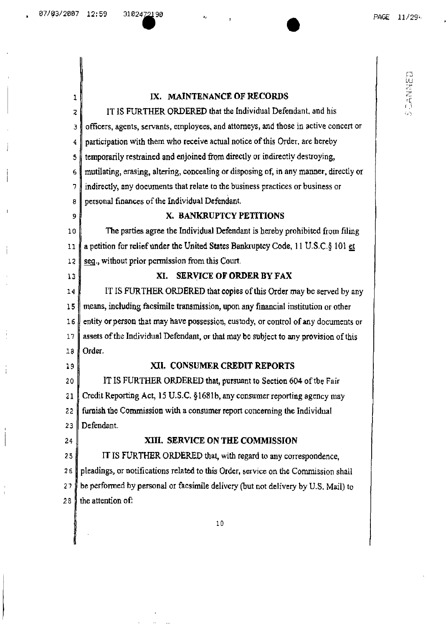1

**CONSECT** 

## IX. MAINTENANCE OF RECORDS

IT IS FURTHER ORDERED that the Individual Defendant, and his 7- 3 officers, agents, servants, employees, andattorneys, and those in active concert or 4 participation with themwho receive actual notice ofthis Order. are hereby 5 temporarily restrained and enjoined from directly or indirectly destroying, 6 mutilating, erasing, altering, concealing or disposing of, in anymanner, directly or 7 indirectly, any documents thatrelate to the business practices or business or  $8 \parallel$  personal finances of the Individual Defendant. 9 X. BANKRUPTCY PETITIONS 10 The parties agree the Individual Defendant is hereby prohibited from filing 11  $\parallel$  a petition for relief under the United States Bankruptcy Code, 11 U.S.C.§ 101 et 12  $\parallel$  seq., without prior permission from this Court. 13 XI. SERVICE OF ORDER BY FAX 14 IT IS FURTHER ORDERED that copies of this Order may be served by any 15 means, including facsimile transmission, upon anyfinancial institution or other 16 entity or person that may have possession, custody, or control of any documents or 17 assets of the Individual Defendant, or that may be subject to any provision of this  $18$  Order. 19 || XII. CONSUMER CREDIT REPORTS 20 | IT IS FURTHER ORDERED that, pursuant to Section 604 of the Fair 21 Credit Reporting Act, 15 U.S.C. §1681b, any consumer reporting agency may 22 furnish the Commission with a consumer report concerning the Individual 23 Defendant. 24 XIII. SERVICE ON THE COMMISSION 25 IT IS FURTHER ORDERED that, with regard to any correspondence, 26 pleadings, or notifications related to this Order, service on the Commission shall 27  $\sharp$  be performed by personal or facsimile delivery (but not delivery by U.S. Mail) to 28 the attention of:

10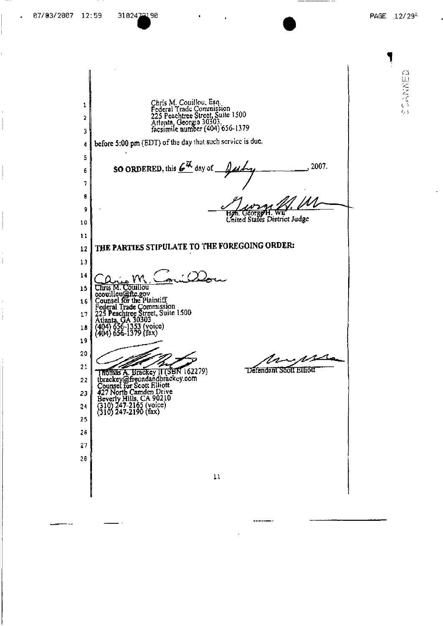j

 $\frac{1}{2}$ 

高規答義さん

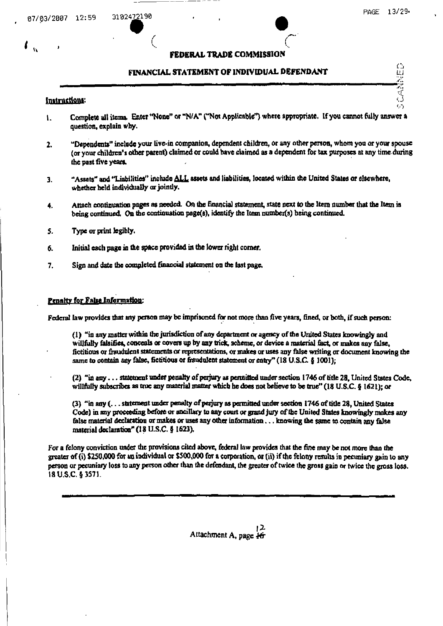CENTRACIO

## FEDERAL TRADE COMMISSION

## FINANCIAL STATEMENT OF INDIVIDUAL DEFENDANT

## Instructions:

- Complete all items. Enter "None" or "N/A" ("Not Applicable") where appropriate. If you cannot fully answer a  $\mathbf{L}$ question, explain why.
- "Dependents" include your live-in companion, dependent children, or any other person, whom you or your spouse  $2.$ (or your children's other parent) claimed or could have claimed as a dependent for tax purposes at any time during the past five years.
- "Assets" and "Liabilities" include ALL assets and liabilities, located within the United States or elsewhere. 3. whether held individually or jointly.
- Attach continuation pages as needed. On the financial statement, state next to the Item number that the Item is 4. being continued. On the continuation page(s), identify the item number(s) being continued.
- 5. Type or print legibly.
- Initial each page in the space provided in the lower right corner. 6.
- Sign and date the completed financial statement on the last page. 7.

## **Penalty for False Information:**

Federal law provides that any person may be imprisoned for not more than five years, fined, or both, if such person:

(1) "in any matter within the jurisdiction of any department or agency of the United States knowingly and willfully falsifies, conceals or covers up by any trick, scheme, or device a material fact, or makes any false, fictitious or fraudulent statements or representations, or makes or uses any false writing or document knowing the same to contain any false, fictitious or fraudulent statement or entry" (18 U.S.C. § 1001);

(2) "in any ... statement under penalty of perjury as permitted under section 1746 of title 28. United States Code, willfully subscribes as true any material matter which he does not believe to be true" (18 U.S.C. § 1621); or

(3) "in any (... statement under penalty of perjury as permitted under section 1746 of title 28, United States Code) in any proceeding before or ancillary to any court or grand jury of the United States knowingly makes any false material declaration or makes or uses any other information . . . knowing the same to contain any false material declaration" (18 U.S.C. § 1623).

For a felony conviction under the provisions cited above, federal law provides that the fine may be not more than the greater of (i) \$250,000 for an individual or \$500,000 for a corporation, or (ii) if the felony results in pecumiary gain to any person or pecuniary loss to any person other than the defendant, the greater of twice the gross gain or twice the gross loss. 18 U.S.C. § 3571.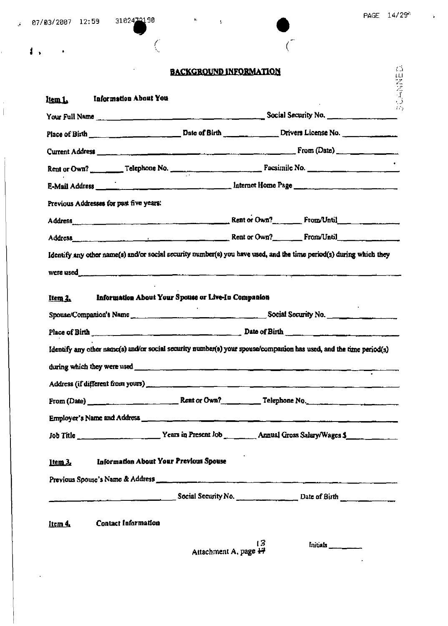|                                         | $07/03/2007$ 12:59 3102472190                                                                                                                                                                                                                                                                                                                                                                                         |                               |  |  |
|-----------------------------------------|-----------------------------------------------------------------------------------------------------------------------------------------------------------------------------------------------------------------------------------------------------------------------------------------------------------------------------------------------------------------------------------------------------------------------|-------------------------------|--|--|
| $\sim 10^{-10}$ M                       |                                                                                                                                                                                                                                                                                                                                                                                                                       |                               |  |  |
|                                         |                                                                                                                                                                                                                                                                                                                                                                                                                       | <b>BACKGROUND INFORMATION</b> |  |  |
| Item 1.                                 | <b>Information About You</b>                                                                                                                                                                                                                                                                                                                                                                                          |                               |  |  |
|                                         |                                                                                                                                                                                                                                                                                                                                                                                                                       |                               |  |  |
|                                         |                                                                                                                                                                                                                                                                                                                                                                                                                       |                               |  |  |
|                                         |                                                                                                                                                                                                                                                                                                                                                                                                                       |                               |  |  |
|                                         | Rent or Own?                                                                                                                                                                                                                                                                                                                                                                                                          |                               |  |  |
|                                         |                                                                                                                                                                                                                                                                                                                                                                                                                       |                               |  |  |
| Previous Addresses for past five years: |                                                                                                                                                                                                                                                                                                                                                                                                                       |                               |  |  |
|                                         | Address example and the contract of the contract of the contract of the contract of the contract of the contract of the contract of the contract of the contract of the contract of the contract of the contract of the contra                                                                                                                                                                                        |                               |  |  |
|                                         |                                                                                                                                                                                                                                                                                                                                                                                                                       |                               |  |  |
| Item 2.                                 | WETE USEd <b>And the Commission of the Commission Commission Commission Commission Commission Commission</b><br>Information About Your Spouse or Live-In Companion                                                                                                                                                                                                                                                    |                               |  |  |
|                                         |                                                                                                                                                                                                                                                                                                                                                                                                                       |                               |  |  |
|                                         | Place of Birth $\frac{1}{\sqrt{1-\frac{1}{\sqrt{1-\frac{1}{\sqrt{1-\frac{1}{\sqrt{1-\frac{1}{\sqrt{1-\frac{1}{\sqrt{1-\frac{1}{\sqrt{1-\frac{1}{\sqrt{1-\frac{1}{\sqrt{1-\frac{1}{\sqrt{1-\frac{1}{\sqrt{1-\frac{1}{\sqrt{1-\frac{1}{\sqrt{1-\frac{1}{\sqrt{1-\frac{1}{\sqrt{1-\frac{1}{\sqrt{1-\frac{1}{\sqrt{1-\frac{1}{\sqrt{1-\frac{1}{\sqrt{1-\frac{1}{\sqrt{1-\frac{1}{\sqrt{1-\frac{1}{\sqrt{1-\frac{1}{\sqrt$ |                               |  |  |
|                                         | Identify any other name(s) and/or social security number(s) your spouse/companion has used, and the time period(s)                                                                                                                                                                                                                                                                                                    |                               |  |  |
|                                         |                                                                                                                                                                                                                                                                                                                                                                                                                       |                               |  |  |
|                                         |                                                                                                                                                                                                                                                                                                                                                                                                                       |                               |  |  |
|                                         |                                                                                                                                                                                                                                                                                                                                                                                                                       |                               |  |  |
|                                         |                                                                                                                                                                                                                                                                                                                                                                                                                       |                               |  |  |
|                                         |                                                                                                                                                                                                                                                                                                                                                                                                                       |                               |  |  |
| $Item 3$                                | Information About Your Previous Spouse                                                                                                                                                                                                                                                                                                                                                                                |                               |  |  |
|                                         | Previous Spouse's Name & Address <b>Acceleration of the Contract of the Contract of the Contract of the Contract of the Contract of the Contract of the Contract of the Contract of the Contract of the Contract of the Contract</b>                                                                                                                                                                                  |                               |  |  |
|                                         | $\frac{1}{\sqrt{1-\frac{1}{2}}\sqrt{1-\frac{1}{2}}\sqrt{1-\frac{1}{2}}\sqrt{1-\frac{1}{2}}\sqrt{1-\frac{1}{2}}}}$ Social Security No.                                                                                                                                                                                                                                                                                 |                               |  |  |
| Item 4.                                 | Contact Information                                                                                                                                                                                                                                                                                                                                                                                                   |                               |  |  |

 $\tilde{\mathcal{L}}$ 

 $\frac{1}{\Gamma}$ 

J.  $\bar{1}$   $\frac{1}{\epsilon}$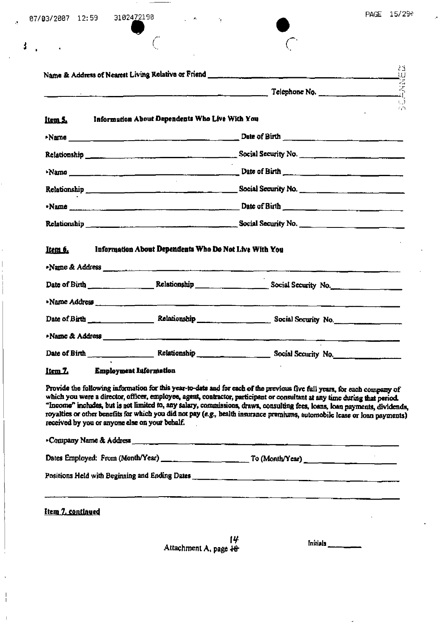| 87/03/2007 | 12:59 | 310247<br>$\sim$ |
|------------|-------|------------------|
|------------|-------|------------------|

3

2190

| Item 5.                        | Information About Dependents Who Live With You                                                                                                                                                                                                                                               |                                                                                                                                                                                                                                      |  |
|--------------------------------|----------------------------------------------------------------------------------------------------------------------------------------------------------------------------------------------------------------------------------------------------------------------------------------------|--------------------------------------------------------------------------------------------------------------------------------------------------------------------------------------------------------------------------------------|--|
|                                |                                                                                                                                                                                                                                                                                              | $\sim$ $\sim$ Date of Birth $\sim$ $\sim$ $\sim$ Date of Birth $\sim$                                                                                                                                                                |  |
|                                |                                                                                                                                                                                                                                                                                              |                                                                                                                                                                                                                                      |  |
|                                |                                                                                                                                                                                                                                                                                              | $\frac{1}{2}$ Date of Birth $\frac{1}{2}$ Date of Birth $\frac{1}{2}$                                                                                                                                                                |  |
|                                |                                                                                                                                                                                                                                                                                              |                                                                                                                                                                                                                                      |  |
|                                |                                                                                                                                                                                                                                                                                              |                                                                                                                                                                                                                                      |  |
|                                |                                                                                                                                                                                                                                                                                              |                                                                                                                                                                                                                                      |  |
| ltem 6.                        | Information About Dependents Who Do Not Live With You<br>Name & Address <u>New York Communications</u> and the Manuscripture of the Manuscripture of the Manuscripture of the Manuscripture of the Manuscripture of the Manuscripture of the Manuscripture of the Manuscripture of the Manus |                                                                                                                                                                                                                                      |  |
|                                |                                                                                                                                                                                                                                                                                              |                                                                                                                                                                                                                                      |  |
|                                |                                                                                                                                                                                                                                                                                              | .Name Address <b>All Automobile Community of the Community of the Community of the Community of the Community of the Community of the Community of the Community of the Community of the Community of the Community of the Commu</b> |  |
|                                |                                                                                                                                                                                                                                                                                              |                                                                                                                                                                                                                                      |  |
|                                |                                                                                                                                                                                                                                                                                              | »Name & Address entertainment and the contract of the contract of the contract of the contract of the contract of the contract of the contract of the contract of the contract of the contract of the contract of the contract       |  |
|                                |                                                                                                                                                                                                                                                                                              |                                                                                                                                                                                                                                      |  |
| Item 7. Employment Information |                                                                                                                                                                                                                                                                                              |                                                                                                                                                                                                                                      |  |

и **усаг-10-**1 revious live full years, for each company of I IDT C 1 OF 1 which you were a director, officer, employee, agent, contractor, participant or consultant at any time during that period. "Income" includes, but is not limited to, any salary, commissions, draws, consulting fees, loans, loan payments, dividends, royalties or other benefits for which you did not pay (e.g., health insurance premiums, automobile lease or loan payments) received by you or anyone else on your behalf.

-Company Name & Address\_  $\frac{1}{2}$ Positions Held with Beginning and Ending Dates

Item 7, continued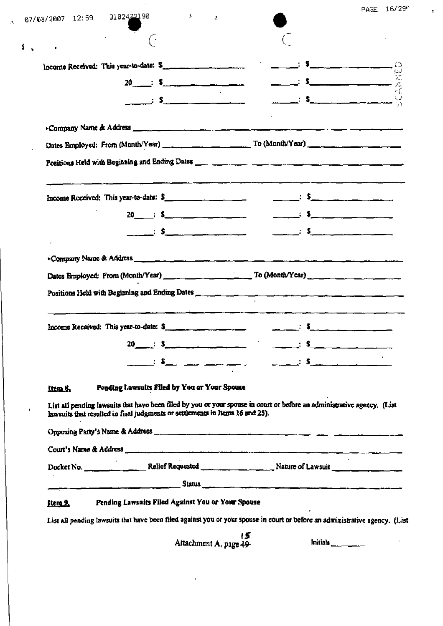| 07/03/2007 12:59 3102422190 | <b>Contract Bar</b><br>$\mathcal{L}$                                                                                                                                                                                                                                                                                                            |                                                                                                                              | PAGE 16/25 |
|-----------------------------|-------------------------------------------------------------------------------------------------------------------------------------------------------------------------------------------------------------------------------------------------------------------------------------------------------------------------------------------------|------------------------------------------------------------------------------------------------------------------------------|------------|
|                             | $\sim$                                                                                                                                                                                                                                                                                                                                          |                                                                                                                              |            |
|                             | Income Received: This year-to-date: \$                                                                                                                                                                                                                                                                                                          | <u> 1986 - Jan Sammen, Amerikaansk konst</u>                                                                                 |            |
|                             |                                                                                                                                                                                                                                                                                                                                                 |                                                                                                                              |            |
|                             | $\mathbf{s}$ $\mathbf{s}$                                                                                                                                                                                                                                                                                                                       |                                                                                                                              |            |
|                             |                                                                                                                                                                                                                                                                                                                                                 |                                                                                                                              |            |
|                             |                                                                                                                                                                                                                                                                                                                                                 |                                                                                                                              |            |
|                             |                                                                                                                                                                                                                                                                                                                                                 |                                                                                                                              |            |
|                             |                                                                                                                                                                                                                                                                                                                                                 |                                                                                                                              |            |
|                             | Income Received: This year-to-date: $S_{\text{max}} = \frac{1}{\sqrt{2\pi}}$                                                                                                                                                                                                                                                                    | $\frac{1}{\sqrt{2}}$ : S <sub>ample</sub> $\frac{1}{\sqrt{2}}$ .                                                             |            |
|                             |                                                                                                                                                                                                                                                                                                                                                 |                                                                                                                              |            |
|                             | $\mathbf{s}$ $\mathbf{s}$                                                                                                                                                                                                                                                                                                                       |                                                                                                                              |            |
|                             |                                                                                                                                                                                                                                                                                                                                                 |                                                                                                                              |            |
|                             |                                                                                                                                                                                                                                                                                                                                                 |                                                                                                                              |            |
|                             |                                                                                                                                                                                                                                                                                                                                                 |                                                                                                                              |            |
|                             |                                                                                                                                                                                                                                                                                                                                                 | Income Received: This year-to-date: \$                                                                                       |            |
|                             | 20 $\therefore$ 5 $\qquad \qquad$ $\qquad$ $\qquad$ $\qquad$ $\qquad$ $\qquad$ $\qquad$ $\qquad$ $\qquad$ $\qquad$ $\qquad$ $\qquad$ $\qquad$ $\qquad$ $\qquad$ $\qquad$ $\qquad$ $\qquad$ $\qquad$ $\qquad$ $\qquad$ $\qquad$ $\qquad$ $\qquad$ $\qquad$ $\qquad$ $\qquad$ $\qquad$ $\qquad$ $\qquad$ $\qquad$ $\qquad$ $\qquad$ $\qquad$ $\q$ |                                                                                                                              |            |
|                             |                                                                                                                                                                                                                                                                                                                                                 | $\overline{\phantom{a}}$ : $\overline{\phantom{a}}$                                                                          |            |
| Item 8.                     | Pending Lawsuits Filed by You or Your Spouse<br>lawsuits that resulted in final judgments or settlements in items 16 and 25).                                                                                                                                                                                                                   | List all pending lawsuits that have been filed by you or your spouse in court or before an administrative agency. (List      |            |
|                             |                                                                                                                                                                                                                                                                                                                                                 |                                                                                                                              |            |
|                             |                                                                                                                                                                                                                                                                                                                                                 |                                                                                                                              |            |
|                             |                                                                                                                                                                                                                                                                                                                                                 |                                                                                                                              |            |
|                             |                                                                                                                                                                                                                                                                                                                                                 |                                                                                                                              |            |
| <u>Item 9.</u>              | Pending Lawsuits Filed Against You or Your Spouse                                                                                                                                                                                                                                                                                               |                                                                                                                              |            |
|                             |                                                                                                                                                                                                                                                                                                                                                 | List all pending lawsuits that have been filed against you or your spouse in court or before an administrative agency. (List |            |

 $\mathfrak{F}_i$ 

 $\frac{1}{2}$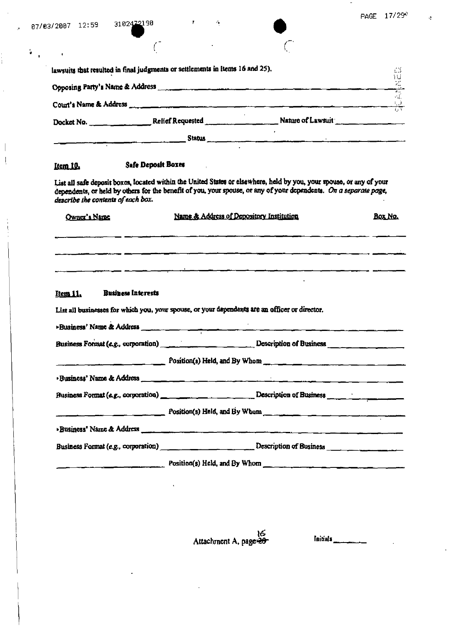$\rightarrow$ 

 $\frac{1}{1}$ 

 $\hat{\boldsymbol{\theta}}$ 

 $\overline{\phantom{a}}$  $\frac{1}{2}$ 

 $\begin{array}{c} 1 \\ 1 \\ 2 \\ 3 \end{array}$ 

 $\mathbf{V}_{\mathrm{eff}}$ 

 $\mathcal{L} \subset \mathcal{L}$  .

 $\tilde{C}_0$ 

 $\sqrt{2}$ 

 $\sim 10^6$ 

|                                       | lawsuits that resulted in final judgments or settlements in Items 16 and 25). |                                                                                                                                                                                                                                           | $\gamma$ . $\gamma$                            |
|---------------------------------------|-------------------------------------------------------------------------------|-------------------------------------------------------------------------------------------------------------------------------------------------------------------------------------------------------------------------------------------|------------------------------------------------|
|                                       |                                                                               |                                                                                                                                                                                                                                           | 世界                                             |
|                                       |                                                                               | Court's Name & Address measurements are a more than the contract of the contract of the contract of the contract                                                                                                                          | $\cdot$ f.<br>$\frac{1}{\sqrt{1+\frac{1}{2}}}$ |
|                                       |                                                                               | Docket No. ___________________Relief Requested _________________________Nature of Lawsuit                                                                                                                                                 |                                                |
|                                       |                                                                               | <u> Stațus III de la componente de la Stațus III de la componente de la componente de la componente de la componen</u>                                                                                                                    |                                                |
| Item 10.                              | <b>Safe Deposit Boxes</b>                                                     |                                                                                                                                                                                                                                           |                                                |
| describe the contents of each box.    |                                                                               | List all safe deposit boxes, located within the United States or elsewhere, held by you, your spouse, or any of your<br>dependents, or held by others for the benefit of you, your spouse, or any of your dependents. On a separate page, |                                                |
| Owner's Name                          |                                                                               | Name & Address of Depository Institution                                                                                                                                                                                                  | Box No.                                        |
|                                       |                                                                               |                                                                                                                                                                                                                                           |                                                |
|                                       |                                                                               |                                                                                                                                                                                                                                           |                                                |
| <b>Business Interests</b><br>Item 11. |                                                                               |                                                                                                                                                                                                                                           |                                                |
|                                       |                                                                               | List all businesses for which you, your spouse, or your dependents are an officer or director.                                                                                                                                            |                                                |
|                                       |                                                                               | Businesa' Name & Address                                                                                                                                                                                                                  |                                                |
|                                       |                                                                               | Business Format (e.g., corporation) Description of Business                                                                                                                                                                               |                                                |
|                                       | Position(s) Held, and By Whom ___                                             |                                                                                                                                                                                                                                           |                                                |
|                                       |                                                                               | and the compact of the second company and company and company and company and company and company and company<br>The company of the company of the company of the company of the company of the company of the company of the co          |                                                |
|                                       |                                                                               |                                                                                                                                                                                                                                           |                                                |
|                                       |                                                                               | $Position(s)$ Held, and By Whom                                                                                                                                                                                                           |                                                |
|                                       |                                                                               |                                                                                                                                                                                                                                           |                                                |
|                                       |                                                                               | Business Format (e.g., corporation) ________________________________Description of Business ________________________                                                                                                                      |                                                |
|                                       |                                                                               | Position(s) Held, and By Whom and By Whome and By Whome and By Whome and By Whome and By Whome and By Whome and By Whome and By Whome and By Whome and By Whome and By Whome and By Whome and By Whome and By Whome and By Who            |                                                |

16<br>Attachment A, page

 $\ddot{\phantom{1}}$ 

Initials \_\_\_\_\_\_\_\_\_\_

 $\frac{1}{2}$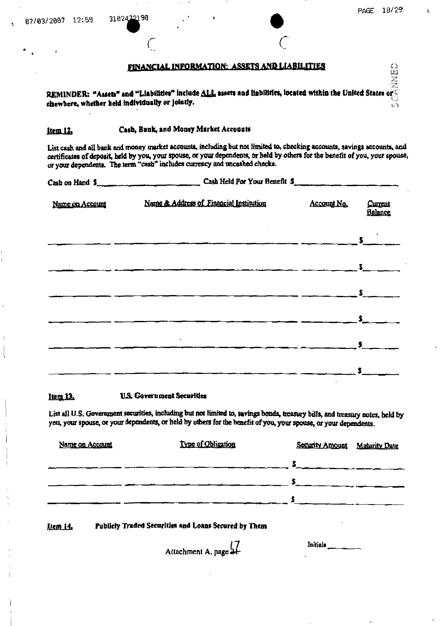$\sim$   $\sim$ 

.<br>D

**EINANCIAL INFORMATION: ASSETS AND LIABILITIES** clsewhere, whether held individually or jointly.

Cash, Bank, and Money Market Accounts ltem 12.

3102472190

List cash and all bank and money market accounts, including but not limited to, checking accounts, savings accounts, and certificates of deposit, held by you, your spouse, or your dependents, or held by others for the benefit of you, your spouse, or your dependents. The term "cash" includes currency and uncashed checks.

|                 | Cash on Hand $5$ and $\frac{1}{2}$ case Held For Your Benefit $3$ |                                                                                                                                                                         |                    |
|-----------------|-------------------------------------------------------------------|-------------------------------------------------------------------------------------------------------------------------------------------------------------------------|--------------------|
| Name on Account | Name & Address of Financial Institution                           | Account No.                                                                                                                                                             | Current<br>Balance |
|                 |                                                                   |                                                                                                                                                                         |                    |
|                 |                                                                   |                                                                                                                                                                         |                    |
|                 |                                                                   | $\frac{1}{\sqrt{2}}$ $\frac{1}{\sqrt{2}}$ $\frac{1}{\sqrt{2}}$ $\frac{1}{\sqrt{2}}$ $\frac{1}{\sqrt{2}}$ $\frac{1}{\sqrt{2}}$ $\frac{1}{\sqrt{2}}$ $\frac{1}{\sqrt{2}}$ |                    |
|                 |                                                                   | $\sim$ $\sim$ $\sim$ $\sim$ $\sim$ $\sim$ $\sim$                                                                                                                        |                    |
|                 |                                                                   |                                                                                                                                                                         |                    |
|                 |                                                                   |                                                                                                                                                                         |                    |

#### **U.S. Government Securities** Item 13.

List all U.S. Government securities, including but not limited to, savings bonds, treasury bills, and treasury notes, held by you, your spouse, or your dependents, or held by others for the benefit of you, your spouse, or your dependents.

| Name on Account | Type of Obligation | Security Amount | <b>Maturity Date</b> |
|-----------------|--------------------|-----------------|----------------------|
|                 |                    |                 |                      |
|                 |                    |                 |                      |
|                 |                    |                 |                      |
|                 |                    |                 |                      |

#### Publicly Traded Securities and Loans Secured by Them **Item 14.**

Attachment A, page 21-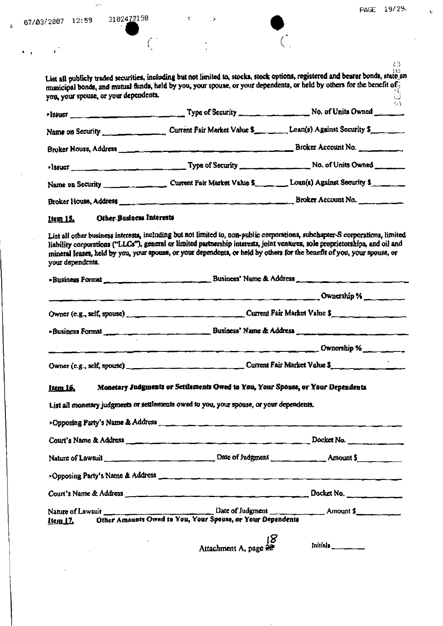$\Delta_{\rm c,eff}$  and  $\Delta_{\rm c,eff}$ 

 $\bar{\mathbf{v}}$ 

 $\left( \frac{1}{2} \right)$ 

 $\mathfrak{s}$ 

 $\Delta$ 

 $\mathcal{L}_{\mathcal{A}}$ 

 $\sim$ 

 $\hat{\mathcal{A}}$ 

| you, your spouse, or your dependents. | List all publicly traded securities, including but not limited to, stocks, stock options, registered and bearer bonds, state an<br>municipal bonds, and mutual funds, held by you, your spouse, or your dependents, or held by others for the benefit of                                                                                                                                | 边<br>. J |
|---------------------------------------|-----------------------------------------------------------------------------------------------------------------------------------------------------------------------------------------------------------------------------------------------------------------------------------------------------------------------------------------------------------------------------------------|----------|
|                                       | -Issuer Mo. of Units Owned                                                                                                                                                                                                                                                                                                                                                              | $t_1$ }  |
|                                       | Name on Security Current Fair Market Value \$ Loan(s) Against Security \$                                                                                                                                                                                                                                                                                                               |          |
|                                       |                                                                                                                                                                                                                                                                                                                                                                                         |          |
|                                       |                                                                                                                                                                                                                                                                                                                                                                                         |          |
|                                       | Name on Security _________________________Current Fair Market Value \$__________Loan(s) Against Security \$                                                                                                                                                                                                                                                                             |          |
|                                       |                                                                                                                                                                                                                                                                                                                                                                                         |          |
| Other Business Interests<br>Item 15.  |                                                                                                                                                                                                                                                                                                                                                                                         |          |
| your dependents.                      | List all other business interests, including but not limited to, non-public corporations, subchapter-S corporations, limited<br>liability corporations ("LLCs"), general or limited partnership interests, joint ventures, sole proprietorships, and oil and<br>mineral leases, held by you, your spouse, or your dependents, or held by others for the benefit of you, your spouse, or |          |
|                                       |                                                                                                                                                                                                                                                                                                                                                                                         |          |
|                                       | Cwnership %                                                                                                                                                                                                                                                                                                                                                                             |          |
|                                       |                                                                                                                                                                                                                                                                                                                                                                                         |          |
|                                       | Business Format <b>Community</b> Business' Name & Address                                                                                                                                                                                                                                                                                                                               |          |
|                                       |                                                                                                                                                                                                                                                                                                                                                                                         |          |
|                                       |                                                                                                                                                                                                                                                                                                                                                                                         |          |
| <u>Item 16.</u>                       | Monetary Judgments or Settlements Owed to You, Your Spouse, or Your Dependents                                                                                                                                                                                                                                                                                                          |          |
|                                       | List all monetary judgments or settlements owed to you, your spouse, or your dependents.                                                                                                                                                                                                                                                                                                |          |
|                                       |                                                                                                                                                                                                                                                                                                                                                                                         |          |
|                                       |                                                                                                                                                                                                                                                                                                                                                                                         |          |
|                                       | Nature of Lawsuit __________________________________Date of Judgment __________________Amount \$                                                                                                                                                                                                                                                                                        |          |
|                                       |                                                                                                                                                                                                                                                                                                                                                                                         |          |
|                                       |                                                                                                                                                                                                                                                                                                                                                                                         |          |
| Nature of Lawsuit<br>Item 17.         | Other Amounts Owed to You, Your Spouse, or Your Dependents                                                                                                                                                                                                                                                                                                                              |          |
|                                       | l8<br>Attachment A, page 22                                                                                                                                                                                                                                                                                                                                                             | Initials |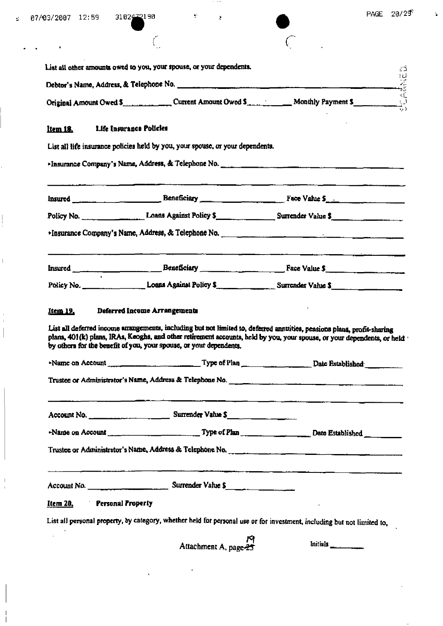$\mathcal{A}$ 

 $\ddot{\phantom{1}}$ 

 $\mathop{ \Bigl[}$ 

 $\begin{array}{c} 1 \\ 1 \end{array}$  $\overline{\phantom{a}}$ 

 $\frac{1}{\sqrt{2}}$ 

 $\mathbf{\hat{a}}$ 

| ٠                                   |                                                                                |                                                                                                                                                                                                                                                   |
|-------------------------------------|--------------------------------------------------------------------------------|---------------------------------------------------------------------------------------------------------------------------------------------------------------------------------------------------------------------------------------------------|
|                                     | List all other amounts owed to you, your spouse, or your dependents.           |                                                                                                                                                                                                                                                   |
|                                     |                                                                                |                                                                                                                                                                                                                                                   |
|                                     |                                                                                | 41,<br>Original Amount Owed \$ Current Amount Owed \$ Monthly Payment \$                                                                                                                                                                          |
| Life Insurance Policies<br>Item 18. |                                                                                |                                                                                                                                                                                                                                                   |
|                                     | List all life insurance policies held by you, your spouse, or your dependents. |                                                                                                                                                                                                                                                   |
|                                     |                                                                                |                                                                                                                                                                                                                                                   |
|                                     |                                                                                |                                                                                                                                                                                                                                                   |
|                                     |                                                                                | Policy No. 2008 Coans Against Policy \$ Surrender Value \$                                                                                                                                                                                        |
|                                     |                                                                                |                                                                                                                                                                                                                                                   |
|                                     |                                                                                | <u>. 2008 - An de Britannia e Britannich Britannich ann an Chilean ann an t-Ann an Chilean ann an t-</u>                                                                                                                                          |
|                                     |                                                                                |                                                                                                                                                                                                                                                   |
| Item 19.                            | Deferred Income Arrangements                                                   |                                                                                                                                                                                                                                                   |
|                                     | by others for the benefit of you, your spouse, or your dependents,             | List all deferred income anangements, including but not limited to, deferred annuities, pensions plans, profit-sharing<br>plans, 401(k) plans, IRAs, Keoghs, and other retirement accounts, held by you, your spouse, or your dependents, or held |
|                                     |                                                                                | Name on Account ______________________________Type of Plan ______________________Date Established                                                                                                                                                 |
|                                     |                                                                                |                                                                                                                                                                                                                                                   |
|                                     |                                                                                |                                                                                                                                                                                                                                                   |
|                                     |                                                                                |                                                                                                                                                                                                                                                   |
|                                     |                                                                                | Trustee or Administrator's Name, Address & Telephone No.                                                                                                                                                                                          |
|                                     |                                                                                |                                                                                                                                                                                                                                                   |
| Personal Property<br>Item 20.       |                                                                                |                                                                                                                                                                                                                                                   |
|                                     |                                                                                | List all personal property, by category, whether held for personal use or for investment, including but not limited to,                                                                                                                           |
|                                     | Attachment A, page-25                                                          | Initials                                                                                                                                                                                                                                          |
|                                     |                                                                                |                                                                                                                                                                                                                                                   |

 $\hat{\mathbf{z}}$ 

 $\ddot{\phantom{a}}$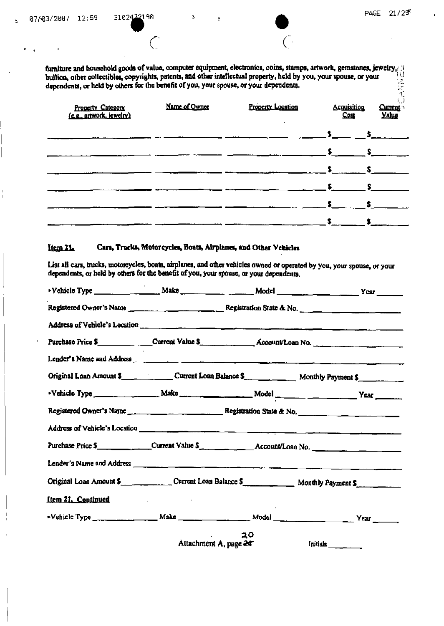Ł

 $\big($ 

furniture and household goods of value, computer equipment, electronics, coins, stamps, artwork, gemstones, jewelry, bullion, other collectibles, copyrights, patents, and other intellectual property, held by you, your spouse, or your dependents, or held by others for the benefit of you, your spouse, or your dependents.

Ł

| <b>Property Category</b><br>(c.g., artwork, jewelry) | Name of Owner | Property Location | <b>Acquisition</b><br>Cost | <b>Current</b><br><b>Yalug</b> |
|------------------------------------------------------|---------------|-------------------|----------------------------|--------------------------------|
|                                                      |               |                   |                            |                                |
|                                                      |               |                   |                            |                                |
|                                                      |               |                   |                            |                                |
|                                                      |               |                   |                            |                                |
|                                                      |               |                   |                            |                                |
|                                                      |               |                   |                            |                                |
|                                                      |               |                   |                            |                                |

#### Item 21. Cars, Trucks, Motorcycles, Boats, Airplanes, and Other Vehicles

List all cars, trucks, motorcycles, boats, airplanes, and other vehicles owned or operated by you, your spouse, or your dependents, or held by others for the benefit of you, your spouse, or your dependents.

| Purchase Price \$_______________Current Value \$____________________Account/Loan No.                       |                                                     |    |          |
|------------------------------------------------------------------------------------------------------------|-----------------------------------------------------|----|----------|
| Lender's Name and Address <b>Commission Commission Commission</b> Commission Commission Commission         |                                                     |    |          |
| Original Loan Amount \$                                                                                    |                                                     |    |          |
|                                                                                                            |                                                     |    |          |
|                                                                                                            |                                                     |    |          |
|                                                                                                            |                                                     |    |          |
|                                                                                                            |                                                     |    |          |
|                                                                                                            |                                                     |    |          |
| Original Loan Amount \$ _____________________ Current Loan Balance \$ _________________ Monthly Payment \$ |                                                     |    |          |
| <u>Item 21. Continued</u>                                                                                  | the contract of the contract of the contract of the |    |          |
|                                                                                                            |                                                     |    |          |
|                                                                                                            | Attachment A, page 24                               | 30 | Initials |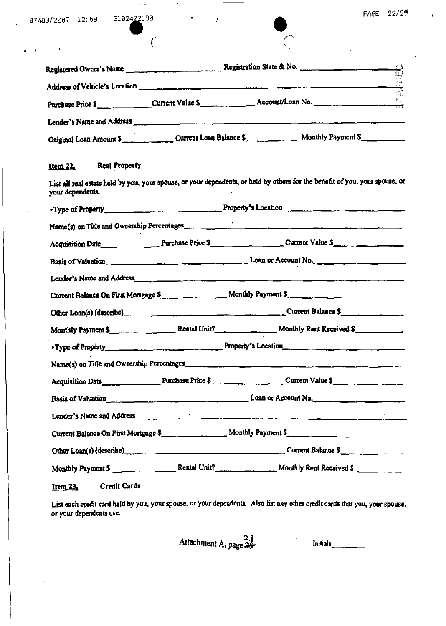$\mathbf{r}$ 

 $\ddot{\phantom{0}}$ 

|                                            | Purchase Price 5 ________________Current Value \$                                                                                                                                                                              | $\binom{1}{2}$ |
|--------------------------------------------|--------------------------------------------------------------------------------------------------------------------------------------------------------------------------------------------------------------------------------|----------------|
|                                            |                                                                                                                                                                                                                                |                |
|                                            |                                                                                                                                                                                                                                |                |
| <b>Real Property</b><br><u>Item 22.</u>    |                                                                                                                                                                                                                                |                |
| your dependents.                           | List all real estate held by you, your spouse, or your dependents, or held by others for the benefit of you, your spouse, or                                                                                                   |                |
|                                            | Froperty Property Property's Location                                                                                                                                                                                          |                |
|                                            | Name(s) on Title and Ownership Percentages                                                                                                                                                                                     |                |
|                                            |                                                                                                                                                                                                                                |                |
|                                            | Basis of Valuation<br>Example 2014 Loan or Account No.                                                                                                                                                                         |                |
|                                            |                                                                                                                                                                                                                                |                |
|                                            | Current Balance On First Mortgage \$                                                                                                                                                                                           |                |
|                                            | Other Loan(s) (describe)<br>1990 - Current Balance \$                                                                                                                                                                          |                |
|                                            | Monthly Payment \$                                                                                                                                                                                                             |                |
|                                            |                                                                                                                                                                                                                                |                |
| Name(s) on Title and Ownership Percentages |                                                                                                                                                                                                                                |                |
|                                            |                                                                                                                                                                                                                                |                |
|                                            | Basis of Valuation $\frac{1}{2}$ Loan or Account No.                                                                                                                                                                           |                |
|                                            | Lender's Name and Address experience of the contract of the contract of the contract of the contract of the contract of the contract of the contract of the contract of the contract of the contract of the contract of the co |                |
|                                            | Current Balance On First Mortgage \$                                                                                                                                                                                           |                |
|                                            |                                                                                                                                                                                                                                |                |
|                                            | Monthly Payment 5 Rental Unit? Monthly Rent Received \$                                                                                                                                                                        |                |
| <b>Credit Cards</b><br><u>Item 23.</u>     |                                                                                                                                                                                                                                |                |

 $\mathcal{O}$ 

Ä

List each credit card held by you, your spouse, or your dependents. Also list any other credit cards that you, your spouse, or your dependents use.

Attachment A, page 25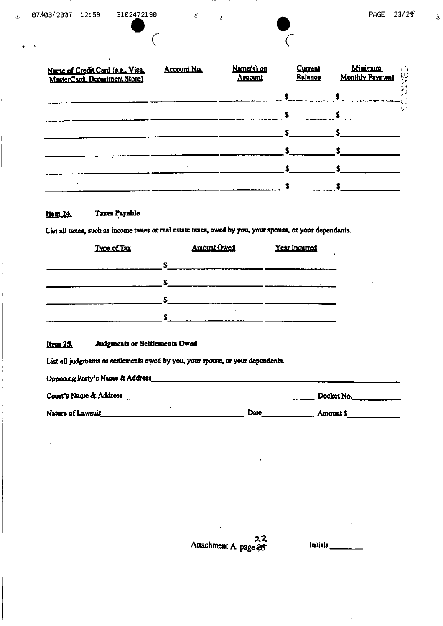$\bullet$ 

 $\hat{\mathbf{z}}$ 

| Name of Credit Card (e.g., Visa,<br>MasterCard. Department Store) | Account No. | Name(s) on<br>Account | <b>Current</b><br><b>Balance</b> | <b>Minimum</b><br><b>Monthly Payment</b> |     |
|-------------------------------------------------------------------|-------------|-----------------------|----------------------------------|------------------------------------------|-----|
|                                                                   |             |                       |                                  |                                          |     |
|                                                                   |             |                       |                                  |                                          | 1,7 |
|                                                                   |             |                       |                                  |                                          |     |
|                                                                   |             |                       |                                  |                                          |     |
|                                                                   |             |                       |                                  |                                          |     |
|                                                                   |             |                       |                                  |                                          |     |

### **Taxes Payable** Item 24.

List all taxes, such as income taxes or real estate taxes, owed by you, your spouse, or your dependants.

 $\mathfrak{L}$ 

 $\overline{C}$ 

ċ

| Type of Tax | <b>Amount Owed</b> | <b>Year Incurred</b> |
|-------------|--------------------|----------------------|
|             |                    |                      |
|             |                    |                      |
|             |                    |                      |
|             |                    |                      |

#### <u>Item 25.</u> Judgments or Settlements Owed

List all judgments or settlements owed by you, your spouse, or your dependents.

| Opposing Party's Name & Address_ |      |            |  |
|----------------------------------|------|------------|--|
| Court's Name & Address           |      | Docket No. |  |
| Nature of Lawsuit                | Date | Amount S   |  |

Attachment A, page  $22$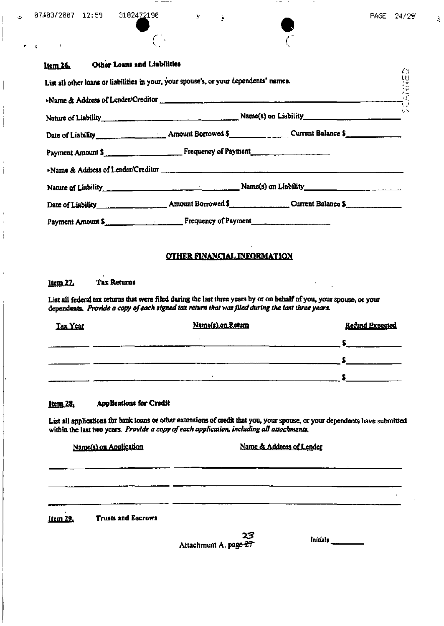$\mathcal{F}_{\mathcal{F}}$ 

Ē,

ረገ

 $\mathbf{3}$ 

|         | نم |
|---------|----|
| $\big($ |    |

#### Other Loans and Liabilities Item 26

|                                                                               | List all other loans or liabilities in your, your spouse's, or your dependents' names. |                      |
|-------------------------------------------------------------------------------|----------------------------------------------------------------------------------------|----------------------|
|                                                                               |                                                                                        | $\sim$ $\sim$ $\sim$ |
|                                                                               |                                                                                        |                      |
| Payment Amount \$                                                             |                                                                                        |                      |
|                                                                               |                                                                                        |                      |
|                                                                               |                                                                                        |                      |
|                                                                               | Date of Liability Amount Borrowed \$ Current Balance \$                                |                      |
| Payment Amount S <sub>ind</sub> Communication of Payment Prequency of Payment |                                                                                        |                      |

## **OTHER FINANCIAL INFORMATION**

#### <u>1tem 27.</u> **Tax Returns**

List all federal tax returns that were filed during the last three years by or on behalf of you, your spouse, or your dependents. Provide a copy of each signed tax return that was filed during the last three years.

| Tax Year | Name(s) on Return | <b>Refund Expected</b> |
|----------|-------------------|------------------------|
|          |                   |                        |
|          |                   |                        |
|          |                   |                        |

#### **Applications for Credit** Item 28.

List all applications for bank loans or other extensions of credit that you, your spouse, or your dependents have submitted within the last two years. Provide a copy of each application, including all attachments.

Name(s) on Application

Name & Address of Lender

**Trusts and Escrows** Item 29.

23

 $In this$ 

Attachment A, page 27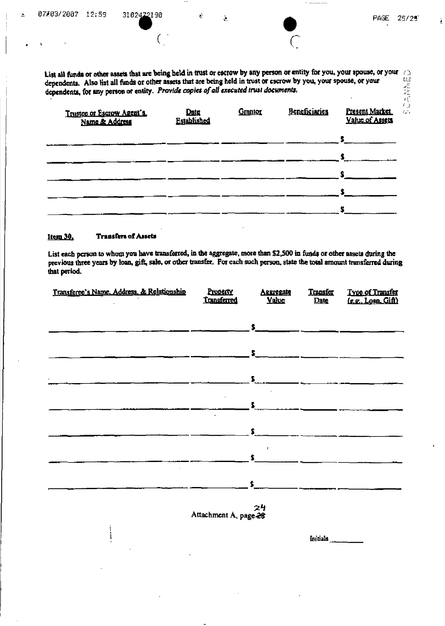$\overline{z}$ 

 $\bar{\mathcal{Q}}$ 

List all funds or other assets that are being held in trust or escrow by any person or entity for you, your spouse, or your  $\frac{1}{2}$ <br>denendents. Also list all funds or other assets that are being held in trust or escrow

Ĉ,

| Datg<br>Established | Granton | Beneficiaries | Present Market<br>Value of Assets |
|---------------------|---------|---------------|-----------------------------------|
|                     |         |               | s                                 |
|                     |         |               | S                                 |
|                     |         |               |                                   |
|                     |         |               |                                   |
|                     |         |               |                                   |
|                     |         |               |                                   |

#### Item 30. **Transfers of Assets**

List each person to whom you have transferred, in the aggregate, more than \$2,500 in funds or other assets during the previous three years by loan, gift, sale, or other transfer. For each such person, state the total amount transferred during that period.

| Transferee's Name, Address, & Relationship | Property<br><b>Transferred</b>    | Aggregate<br><b>Value</b>     | <b>Transfer</b><br>Date | Type of Transfer<br>(e.g., Loan, Gift) |
|--------------------------------------------|-----------------------------------|-------------------------------|-------------------------|----------------------------------------|
|                                            |                                   | $S_{---}$                     |                         |                                        |
|                                            |                                   | $\mathbf{S}$ and $\mathbf{S}$ |                         |                                        |
|                                            |                                   |                               |                         |                                        |
|                                            | $\bullet$                         | $S_{\text{max}}$              |                         |                                        |
|                                            |                                   | S.                            |                         |                                        |
|                                            |                                   | $\mathbf{s}$                  |                         |                                        |
|                                            |                                   | \$                            |                         |                                        |
|                                            | Attachment A, page $\frac{24}{3}$ |                               |                         |                                        |
|                                            |                                   |                               | Initials                |                                        |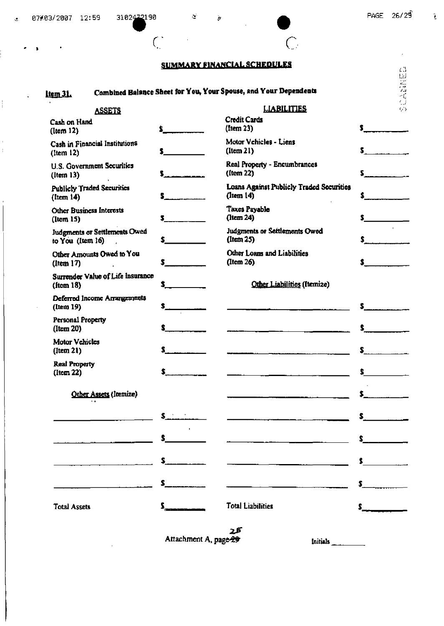$\bigcap$ 

 $\boldsymbol{\cdot}$ 

 $\hat{\textbf{z}}$ 

## **SUMMARY FINANCIAL SCHEDULES**

 $\overline{C}$ 

 $\bar{\bm{s}}$ 

## ltem<sub>31</sub>.

 $\ddot{\bullet}$ 

 $\ddot{\phantom{1}}$ 

 $\ddot{\phantom{a}}$ 

 $\frac{1}{2}$ 

 $\bar{1}$ Î,

## Combined Balance Sheet for You, Your Spouse, and Your Dependents

|     |                                                      | $\epsilon$ .                                                     |
|-----|------------------------------------------------------|------------------------------------------------------------------|
|     |                                                      | 記載場                                                              |
|     | <b>LIABILITIES</b>                                   | $\epsilon_{\rm s}$ 's                                            |
|     | <b>Credit Cards</b><br>(Item 23)                     |                                                                  |
|     | Motor Vehicles - Liens<br>$($ Item $21)$             |                                                                  |
|     | Real Property - Encumbrances<br>(Item 22)            | s.                                                               |
|     | Loans Against Publicly Traded Securities<br>(lcm 14) |                                                                  |
|     | Taxes Payable<br>(ltem 24)                           |                                                                  |
|     | Judgments or Settlements Owed<br>(ltem 25)           |                                                                  |
|     | Other Loans and Liabilities<br>(Item 26)             |                                                                  |
|     | Other Liabilities (Itemize)                          |                                                                  |
|     |                                                      | \$.                                                              |
|     |                                                      |                                                                  |
| \$. |                                                      | s                                                                |
| \$. |                                                      | s                                                                |
|     |                                                      |                                                                  |
| s.  |                                                      |                                                                  |
| S.  |                                                      |                                                                  |
| \$  |                                                      |                                                                  |
| S.  |                                                      | \$.                                                              |
|     | <b>Total Liabilities</b>                             |                                                                  |
|     | Surrender Value of Life Insurance                    | Combined Balance Sheet for You, Your Spouse, and Your Dependents |

attachment A, page 29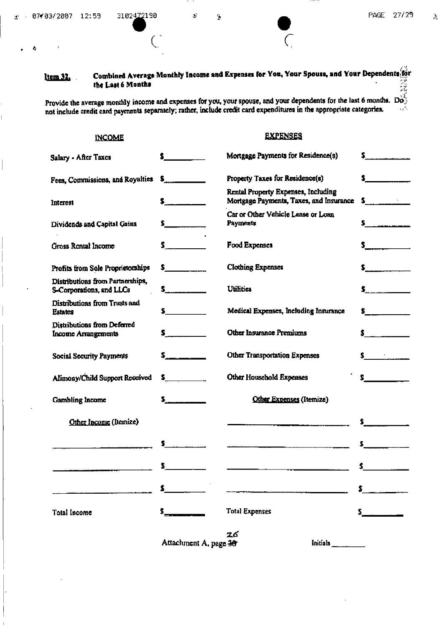Ą

3

 $\mathcal{Q}$ 

 $\mathfrak{F}$ 

## Combined Average Monthly Income and Expenses for You, Your Spouse, and Your Dependents for Item 32. the Last 6 Months

Provide the average monthly income and expenses for you, your spouse, and your dependents for the last 6 months.  $\overline{D} \overline{\hat{O}}$  not include credit card payments separately; rather, include credit card expenditures in th

## **INCOME**

## **EXPENSES**

| Salary - After Taxes                                         |                                             | Mortgage Payments for Residence(s)                                                                                                                                                                                              |                                                                                                                                                                                                                                                                                                                        |
|--------------------------------------------------------------|---------------------------------------------|---------------------------------------------------------------------------------------------------------------------------------------------------------------------------------------------------------------------------------|------------------------------------------------------------------------------------------------------------------------------------------------------------------------------------------------------------------------------------------------------------------------------------------------------------------------|
| Fees, Commissions, and Royalties                             | $\mathbf{s}$ . The contract of $\mathbf{s}$ | Property Taxes for Residence(s)                                                                                                                                                                                                 | <u>and the company of the company of the company of the company of the company of the company of the company of the company of the company of the company of the company of the company of the company of the company of the com</u>                                                                                   |
| Interest                                                     | $\sim$                                      | Rental Property Expenses, Including<br>Mortgage Payments, Taxes, and Insurance                                                                                                                                                  | $\sim$ $\sim$                                                                                                                                                                                                                                                                                                          |
| Dividends and Capital Gains                                  | $\sim$                                      | Car or Other Vehicle Lease or Loan<br>Payments                                                                                                                                                                                  |                                                                                                                                                                                                                                                                                                                        |
| Gross Rental Income                                          | $\sim$ $\sim$                               | <b>Food Expenses</b>                                                                                                                                                                                                            | $\sim$ $\sim$                                                                                                                                                                                                                                                                                                          |
| Profits from Sole Proprietorships                            | $\sim$                                      | <b>Clothing Expenses</b>                                                                                                                                                                                                        |                                                                                                                                                                                                                                                                                                                        |
| Distributions from Partnerships,<br>S-Corporations, and LLCs | s                                           | <b>Utilities</b>                                                                                                                                                                                                                | $\mathsf{s}$ . The set of $\mathsf{s}$ and $\mathsf{s}$ and $\mathsf{s}$ and $\mathsf{s}$ and $\mathsf{s}$ and $\mathsf{s}$ and $\mathsf{s}$ and $\mathsf{s}$ and $\mathsf{s}$ and $\mathsf{s}$ and $\mathsf{s}$ and $\mathsf{s}$ and $\mathsf{s}$ and $\mathsf{s}$ and $\mathsf{s}$ and $\mathsf{s}$ and $\mathsf{s}$ |
| Distributions from Trusts and<br><b>Estates</b>              | $\sim$                                      | Medical Expenses, Including Insurance                                                                                                                                                                                           | $\sim$ $\sim$                                                                                                                                                                                                                                                                                                          |
| Distributions from Deferred<br><b>Income Arrangements</b>    | $\mathbf s$ and $\mathbf s$                 | Other Insurance Premiums                                                                                                                                                                                                        | $\frac{1}{2}$                                                                                                                                                                                                                                                                                                          |
| <b>Social Security Payments</b>                              | $s_{\frac{1}{2}}$                           | <b>Other Transportation Expenses</b>                                                                                                                                                                                            | $\sim$                                                                                                                                                                                                                                                                                                                 |
| Alimony/Child Support Received                               | $\sim$ $\sim$                               | <b>Other Household Expenses</b>                                                                                                                                                                                                 | $\sim$ $\sim$                                                                                                                                                                                                                                                                                                          |
| Gambling Income                                              | $\sim$                                      | Other Expenses (Itemize)                                                                                                                                                                                                        |                                                                                                                                                                                                                                                                                                                        |
| Other Income (Itemize)                                       |                                             |                                                                                                                                                                                                                                 | $\sim$                                                                                                                                                                                                                                                                                                                 |
|                                                              | S.                                          | e de la companya de la companya de la companya de la companya de la companya de la companya de la companya de<br>La companya de la companya de la companya de la companya de la companya de la companya de la companya de la co |                                                                                                                                                                                                                                                                                                                        |
|                                                              | $\sim$                                      |                                                                                                                                                                                                                                 |                                                                                                                                                                                                                                                                                                                        |
|                                                              | $\mathbf{s}$ and $\mathbf{s}$               |                                                                                                                                                                                                                                 | $\frac{1}{2}$                                                                                                                                                                                                                                                                                                          |
| <b>Total Income</b>                                          | s                                           | <b>Total Expenses</b>                                                                                                                                                                                                           | $\sim$                                                                                                                                                                                                                                                                                                                 |
|                                                              |                                             | 26                                                                                                                                                                                                                              |                                                                                                                                                                                                                                                                                                                        |

Attachment A, page 30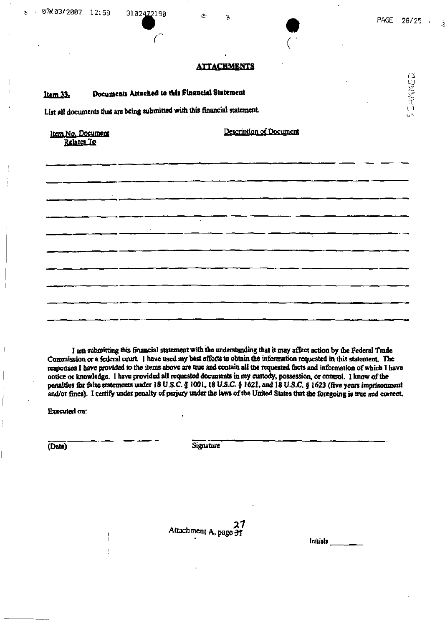**CENTER** 

## **ATTACHMENTS**

ä

### Documents Attached to this Financial Statement item 33.

3102422190

List all documents that are being submitted with this financial statement.

Item No. Document Relates To

Description of Document

I am submitting this financial statement with the understanding that it may affect action by the Federal Trade Commission or a federal court. I have used my best efforts to obtain the information requested in this statement. The responses I have provided to the items above are true and contain all the requested facts and information of which I have notice or knowledge. I have provided all requested documents in my custody, possession, or control. I know of the penalties for false statements under 18 U.S.C. § 1001, 18 U.S.C. § 1621, and 18 U.S.C. § 1623 (five years imprisonment and/or fines). I certify under penalty of perjury under the laws of the United States that the foregoing is true and correct.

**Executed on:** 

(Date)

**Signature** 

27 Attachment A, page 31